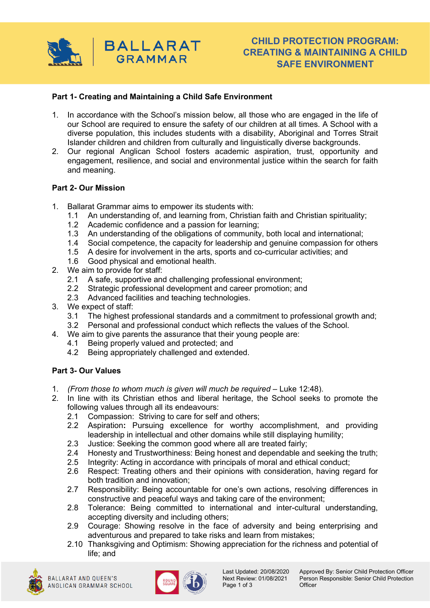

# **CHILD PROTECTION PROGRAM: CREATING & MAINTAINING A CHILD SAFE ENVIRONMENT**

# **Part 1- Creating and Maintaining a Child Safe Environment**

- 1. In accordance with the School's mission below, all those who are engaged in the life of our School are required to ensure the safety of our children at all times. A School with a diverse population, this includes students with a disability, Aboriginal and Torres Strait Islander children and children from culturally and linguistically diverse backgrounds.
- 2. Our regional Anglican School fosters academic aspiration, trust, opportunity and engagement, resilience, and social and environmental justice within the search for faith and meaning.

#### **Part 2- Our Mission**

- 1. Ballarat Grammar aims to empower its students with:
	- 1.1 An understanding of, and learning from, Christian faith and Christian spirituality;
	- 1.2 Academic confidence and a passion for learning;
	- 1.3 An understanding of the obligations of community, both local and international;
	- 1.4 Social competence, the capacity for leadership and genuine compassion for others
	- 1.5 A desire for involvement in the arts, sports and co-curricular activities; and
	- 1.6 Good physical and emotional health.
- 2. We aim to provide for staff:
	- 2.1 A safe, supportive and challenging professional environment;
	- 2.2 Strategic professional development and career promotion; and
	- 2.3 Advanced facilities and teaching technologies.
- 3. We expect of staff:
	- 3.1 The highest professional standards and a commitment to professional growth and;
	- 3.2 Personal and professional conduct which reflects the values of the School.
- 4. We aim to give parents the assurance that their young people are:
	- 4.1 Being properly valued and protected; and
	- 4.2 Being appropriately challenged and extended.

#### **Part 3- Our Values**

- 1. *(From those to whom much is given will much be required* Luke 12:48).
- 2. In line with its Christian ethos and liberal heritage, the School seeks to promote the following values through all its endeavours:
	- 2.1 Compassion: Striving to care for self and others;
	- 2.2 Aspiration**:** Pursuing excellence for worthy accomplishment, and providing leadership in intellectual and other domains while still displaying humility;
	- 2.3 Justice: Seeking the common good where all are treated fairly;
	- 2.4 Honesty and Trustworthiness: Being honest and dependable and seeking the truth;
	- 2.5 Integrity: Acting in accordance with principals of moral and ethical conduct;<br>2.6 Respect: Treating others and their opinions with consideration, having red
	- Respect: Treating others and their opinions with consideration, having regard for both tradition and innovation;
	- 2.7 Responsibility: Being accountable for one's own actions, resolving differences in constructive and peaceful ways and taking care of the environment;
	- 2.8 Tolerance: Being committed to international and inter-cultural understanding, accepting diversity and including others;
	- 2.9 Courage: Showing resolve in the face of adversity and being enterprising and adventurous and prepared to take risks and learn from mistakes;
	- 2.10 Thanksgiving and Optimism: Showing appreciation for the richness and potential of life; and



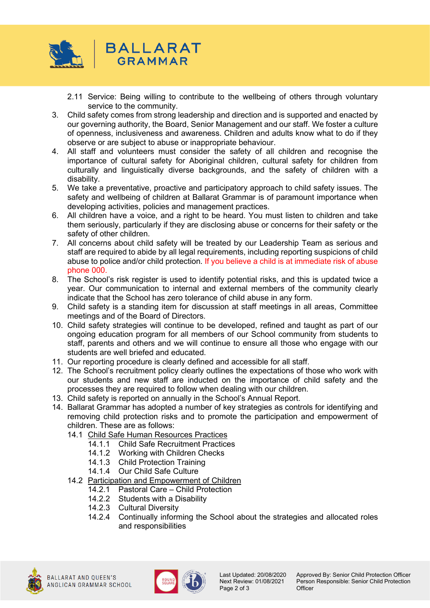

- 2.11 Service: Being willing to contribute to the wellbeing of others through voluntary service to the community.
- 3. Child safety comes from strong leadership and direction and is supported and enacted by our governing authority, the Board, Senior Management and our staff. We foster a culture of openness, inclusiveness and awareness. Children and adults know what to do if they observe or are subject to abuse or inappropriate behaviour.
- 4. All staff and volunteers must consider the safety of all children and recognise the importance of cultural safety for Aboriginal children, cultural safety for children from culturally and linguistically diverse backgrounds, and the safety of children with a disability.
- 5. We take a preventative, proactive and participatory approach to child safety issues. The safety and wellbeing of children at Ballarat Grammar is of paramount importance when developing activities, policies and management practices.
- 6. All children have a voice, and a right to be heard. You must listen to children and take them seriously, particularly if they are disclosing abuse or concerns for their safety or the safety of other children.
- 7. All concerns about child safety will be treated by our Leadership Team as serious and staff are required to abide by all legal requirements, including reporting suspicions of child abuse to police and/or child protection. If you believe a child is at immediate risk of abuse phone 000.
- 8. The School's risk register is used to identify potential risks, and this is updated twice a year. Our communication to internal and external members of the community clearly indicate that the School has zero tolerance of child abuse in any form.
- 9. Child safety is a standing item for discussion at staff meetings in all areas, Committee meetings and of the Board of Directors.
- 10. Child safety strategies will continue to be developed, refined and taught as part of our ongoing education program for all members of our School community from students to staff, parents and others and we will continue to ensure all those who engage with our students are well briefed and educated.
- 11. Our reporting procedure is clearly defined and accessible for all staff.
- 12. The School's recruitment policy clearly outlines the expectations of those who work with our students and new staff are inducted on the importance of child safety and the processes they are required to follow when dealing with our children.
- 13. Child safety is reported on annually in the School's Annual Report.
- 14. Ballarat Grammar has adopted a number of key strategies as controls for identifying and removing child protection risks and to promote the participation and empowerment of children. These are as follows:
	- 14.1 Child Safe Human Resources Practices
		- 14.1.1 Child Safe Recruitment Practices
		- 14.1.2 Working with Children Checks
		- 14.1.3 Child Protection Training
		- 14.1.4 Our Child Safe Culture
	- 14.2 Participation and Empowerment of Children
		- 14.2.1 Pastoral Care Child Protection
		- 14.2.2 Students with a Disability
		- 14.2.3 Cultural Diversity
		- 14.2.4 Continually informing the School about the strategies and allocated roles and responsibilities





Page 2 of 3

Last Updated: 20/08/2020 Approved By: Senior Child Protection Officer<br>Next Review: 01/08/2021 Person Responsible: Senior Child Protection Person Responsible: Senior Child Protection<br>Officer